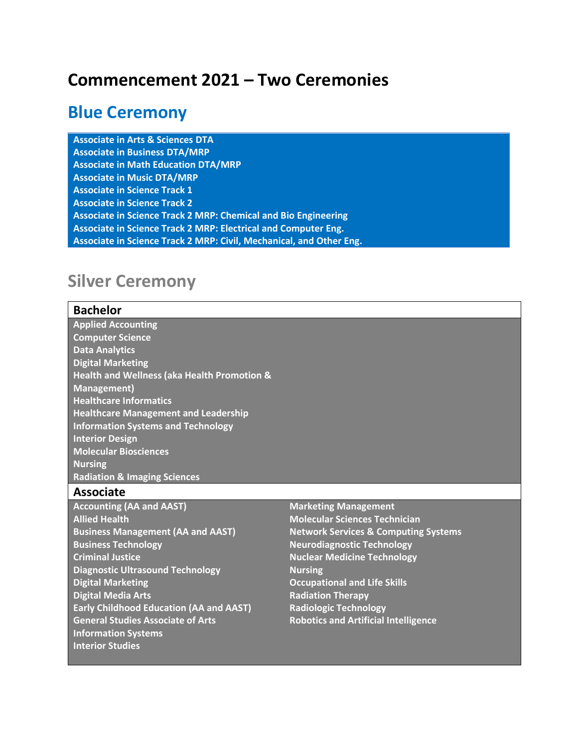# **Commencement 2021 – Two Ceremonies**

## **Blue Ceremony**

**Associate in Arts & Sciences DTA Associate in Business DTA/MRP Associate in Math Education DTA/MRP Associate in Music DTA/MRP Associate in Science Track 1 Associate in Science Track 2 Associate in Science Track 2 MRP: Chemical and Bio Engineering Associate in Science Track 2 MRP: Electrical and Computer Eng. Associate in Science Track 2 MRP: Civil, Mechanical, and Other Eng.**

# **Silver Ceremony**

### **Bachelor Applied Accounting Computer Science Data Analytics Digital Marketing Health and Wellness (aka Health Promotion & Management) Healthcare Informatics Healthcare Management and Leadership Information Systems and Technology Interior Design Molecular Biosciences Nursing Radiation & Imaging Sciences**

### **Associate**

- **Accounting (AA and AAST) Allied Health Business Management (AA and AAST) Business Technology Criminal Justice Diagnostic Ultrasound Technology Digital Marketing Digital Media Arts Early Childhood Education (AA and AAST) General Studies Associate of Arts Information Systems Interior Studies**
- **Marketing Management Molecular Sciences Technician Network Services & Computing Systems Neurodiagnostic Technology Nuclear Medicine Technology Nursing Occupational and Life Skills Radiation Therapy Radiologic Technology Robotics and Artificial Intelligence**